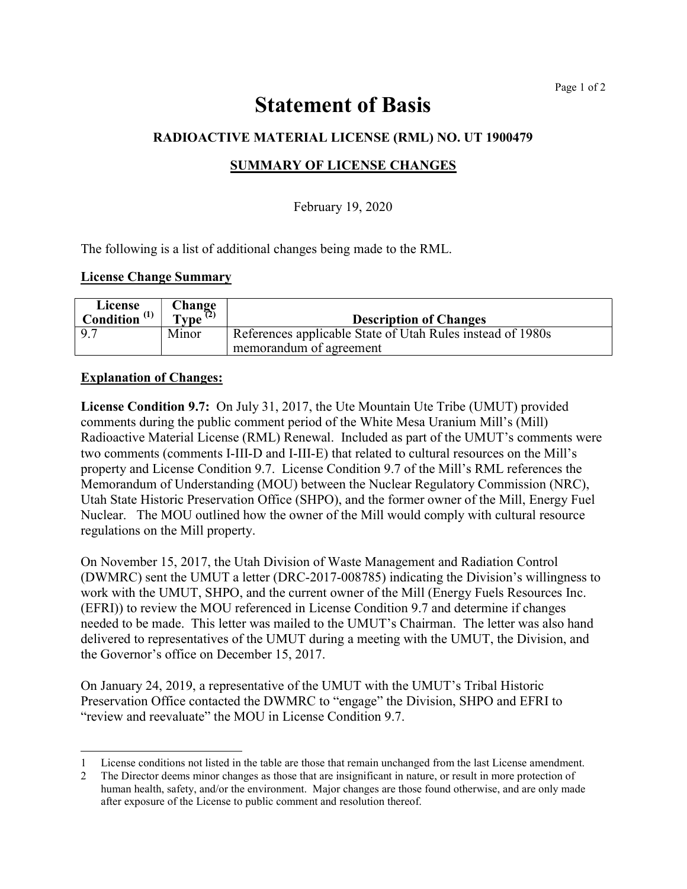# Statement of Basis

# RADIOACTIVE MATERIAL LICENSE (RML) NO. UT 1900479

## SUMMARY OF LICENSE CHANGES

## February 19, 2020

The following is a list of additional changes being made to the RML.

#### License Change Summary

| License<br>Condition $^{(1)}$ | Change<br>$\text{Type}^{(2)}$ | <b>Description of Changes</b>                                                         |
|-------------------------------|-------------------------------|---------------------------------------------------------------------------------------|
| $\sqrt{97}$                   | Minor                         | References applicable State of Utah Rules instead of 1980s<br>memorandum of agreement |

### Explanation of Changes:

 $\overline{a}$ 

License Condition 9.7: On July 31, 2017, the Ute Mountain Ute Tribe (UMUT) provided comments during the public comment period of the White Mesa Uranium Mill's (Mill) Radioactive Material License (RML) Renewal. Included as part of the UMUT's comments were two comments (comments I-III-D and I-III-E) that related to cultural resources on the Mill's property and License Condition 9.7. License Condition 9.7 of the Mill's RML references the Memorandum of Understanding (MOU) between the Nuclear Regulatory Commission (NRC), Utah State Historic Preservation Office (SHPO), and the former owner of the Mill, Energy Fuel Nuclear. The MOU outlined how the owner of the Mill would comply with cultural resource regulations on the Mill property.

On November 15, 2017, the Utah Division of Waste Management and Radiation Control (DWMRC) sent the UMUT a letter (DRC-2017-008785) indicating the Division's willingness to work with the UMUT, SHPO, and the current owner of the Mill (Energy Fuels Resources Inc. (EFRI)) to review the MOU referenced in License Condition 9.7 and determine if changes needed to be made. This letter was mailed to the UMUT's Chairman. The letter was also hand delivered to representatives of the UMUT during a meeting with the UMUT, the Division, and the Governor's office on December 15, 2017.

On January 24, 2019, a representative of the UMUT with the UMUT's Tribal Historic Preservation Office contacted the DWMRC to "engage" the Division, SHPO and EFRI to "review and reevaluate" the MOU in License Condition 9.7.

<sup>1</sup> License conditions not listed in the table are those that remain unchanged from the last License amendment.

<sup>2</sup> The Director deems minor changes as those that are insignificant in nature, or result in more protection of human health, safety, and/or the environment. Major changes are those found otherwise, and are only made after exposure of the License to public comment and resolution thereof.